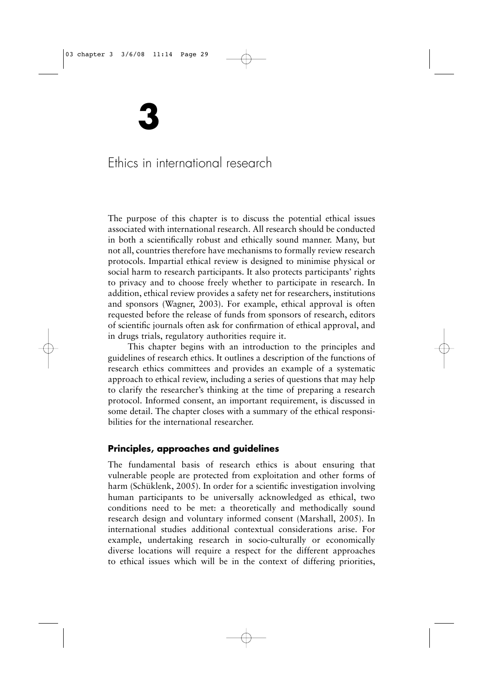# **3**

# Ethics in international research

The purpose of this chapter is to discuss the potential ethical issues associated with international research. All research should be conducted in both a scientifically robust and ethically sound manner. Many, but not all, countries therefore have mechanisms to formally review research protocols. Impartial ethical review is designed to minimise physical or social harm to research participants. It also protects participants' rights to privacy and to choose freely whether to participate in research. In addition, ethical review provides a safety net for researchers, institutions and sponsors (Wagner, 2003). For example, ethical approval is often requested before the release of funds from sponsors of research, editors of scientific journals often ask for confirmation of ethical approval, and in drugs trials, regulatory authorities require it.

This chapter begins with an introduction to the principles and guidelines of research ethics. It outlines a description of the functions of research ethics committees and provides an example of a systematic approach to ethical review, including a series of questions that may help to clarify the researcher's thinking at the time of preparing a research protocol. Informed consent, an important requirement, is discussed in some detail. The chapter closes with a summary of the ethical responsibilities for the international researcher.

# **Principles, approaches and guidelines**

The fundamental basis of research ethics is about ensuring that vulnerable people are protected from exploitation and other forms of harm (Schüklenk, 2005). In order for a scientific investigation involving human participants to be universally acknowledged as ethical, two conditions need to be met: a theoretically and methodically sound research design and voluntary informed consent (Marshall, 2005). In international studies additional contextual considerations arise. For example, undertaking research in socio-culturally or economically diverse locations will require a respect for the different approaches to ethical issues which will be in the context of differing priorities,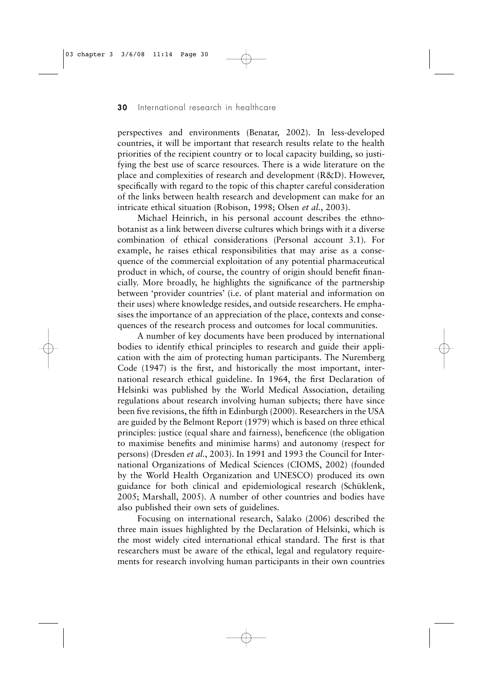perspectives and environments (Benatar, 2002). In less-developed countries, it will be important that research results relate to the health priorities of the recipient country or to local capacity building, so justifying the best use of scarce resources. There is a wide literature on the place and complexities of research and development (R&D). However, specifically with regard to the topic of this chapter careful consideration of the links between health research and development can make for an intricate ethical situation (Robison, 1998; Olsen *et al.*, 2003).

Michael Heinrich, in his personal account describes the ethnobotanist as a link between diverse cultures which brings with it a diverse combination of ethical considerations (Personal account 3.1). For example, he raises ethical responsibilities that may arise as a consequence of the commercial exploitation of any potential pharmaceutical product in which, of course, the country of origin should benefit financially. More broadly, he highlights the significance of the partnership between 'provider countries' (i.e. of plant material and information on their uses) where knowledge resides, and outside researchers. He emphasises the importance of an appreciation of the place, contexts and consequences of the research process and outcomes for local communities.

A number of key documents have been produced by international bodies to identify ethical principles to research and guide their application with the aim of protecting human participants. The Nuremberg Code (1947) is the first, and historically the most important, international research ethical guideline. In 1964, the first Declaration of Helsinki was published by the World Medical Association, detailing regulations about research involving human subjects; there have since been five revisions, the fifth in Edinburgh (2000). Researchers in the USA are guided by the Belmont Report (1979) which is based on three ethical principles: justice (equal share and fairness), beneficence (the obligation to maximise benefits and minimise harms) and autonomy (respect for persons) (Dresden *et al.*, 2003). In 1991 and 1993 the Council for International Organizations of Medical Sciences (CIOMS, 2002) (founded by the World Health Organization and UNESCO) produced its own guidance for both clinical and epidemiological research (Schüklenk, 2005; Marshall, 2005). A number of other countries and bodies have also published their own sets of guidelines.

Focusing on international research, Salako (2006) described the three main issues highlighted by the Declaration of Helsinki, which is the most widely cited international ethical standard. The first is that researchers must be aware of the ethical, legal and regulatory requirements for research involving human participants in their own countries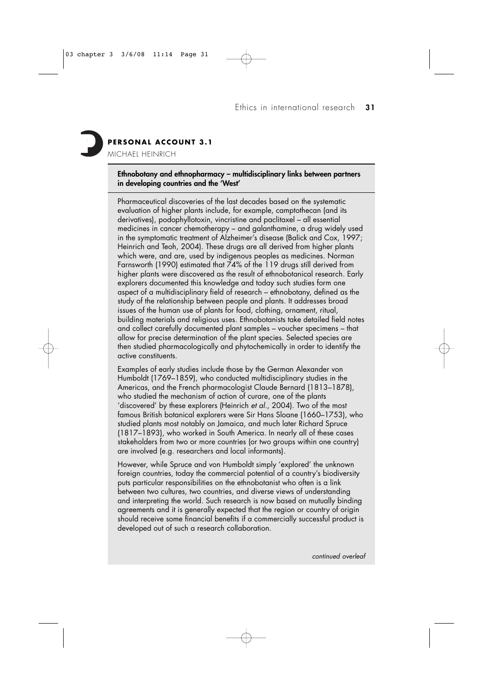# **PERSONAL ACCOUNT 3.1**

MICHAEL HEINRICH

**P**

**Ethnobotany and ethnopharmacy – multidisciplinary links between partners in developing countries and the 'West'**

Pharmaceutical discoveries of the last decades based on the systematic evaluation of higher plants include, for example, camptothecan (and its derivatives), podophyllotoxin, vincristine and paclitaxel – all essential medicines in cancer chemotherapy – and galanthamine, a drug widely used in the symptomatic treatment of Alzheimer's disease (Balick and Cox, 1997; Heinrich and Teoh, 2004). These drugs are all derived from higher plants which were, and are, used by indigenous peoples as medicines. Norman Farnsworth (1990) estimated that 74% of the 119 drugs still derived from higher plants were discovered as the result of ethnobotanical research. Early explorers documented this knowledge and today such studies form one aspect of a multidisciplinary field of research – ethnobotany, defined as the study of the relationship between people and plants. It addresses broad issues of the human use of plants for food, clothing, ornament, ritual, building materials and religious uses. Ethnobotanists take detailed field notes and collect carefully documented plant samples – voucher specimens – that allow for precise determination of the plant species. Selected species are then studied pharmacologically and phytochemically in order to identify the active constituents.

Examples of early studies include those by the German Alexander von Humboldt (1769–1859), who conducted multidisciplinary studies in the Americas, and the French pharmacologist Claude Bernard (1813–1878), who studied the mechanism of action of curare, one of the plants 'discovered' by these explorers (Heinrich et al., 2004). Two of the most famous British botanical explorers were Sir Hans Sloane (1660–1753), who studied plants most notably on Jamaica, and much later Richard Spruce (1817–1893), who worked in South America. In nearly all of these cases stakeholders from two or more countries (or two groups within one country) are involved (e.g. researchers and local informants).

However, while Spruce and von Humboldt simply 'explored' the unknown foreign countries, today the commercial potential of a country's biodiversity puts particular responsibilities on the ethnobotanist who often is a link between two cultures, two countries, and diverse views of understanding and interpreting the world. Such research is now based on mutually binding agreements and it is generally expected that the region or country of origin should receive some financial benefits if a commercially successful product is developed out of such a research collaboration.

continued overleaf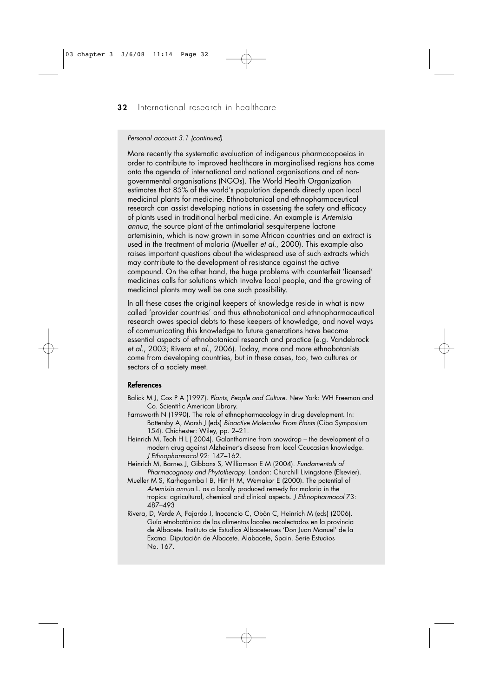Personal account 3.1 (continued)

More recently the systematic evaluation of indigenous pharmacopoeias in order to contribute to improved healthcare in marginalised regions has come onto the agenda of international and national organisations and of nongovernmental organisations (NGOs). The World Health Organization estimates that 85% of the world's population depends directly upon local medicinal plants for medicine. Ethnobotanical and ethnopharmaceutical research can assist developing nations in assessing the safety and efficacy of plants used in traditional herbal medicine. An example is Artemisia annua, the source plant of the antimalarial sesquiterpene lactone artemisinin, which is now grown in some African countries and an extract is used in the treatment of malaria (Mueller et al., 2000). This example also raises important questions about the widespread use of such extracts which may contribute to the development of resistance against the active compound. On the other hand, the huge problems with counterfeit 'licensed' medicines calls for solutions which involve local people, and the growing of medicinal plants may well be one such possibility.

In all these cases the original keepers of knowledge reside in what is now called 'provider countries' and thus ethnobotanical and ethnopharmaceutical research owes special debts to these keepers of knowledge, and novel ways of communicating this knowledge to future generations have become essential aspects of ethnobotanical research and practice (e.g. Vandebrock et al., 2003; Rivera et al., 2006). Today, more and more ethnobotanists come from developing countries, but in these cases, too, two cultures or sectors of a society meet.

#### **References**

- Balick M J, Cox P A (1997). Plants, People and Culture. New York: WH Freeman and Co. Scientific American Library.
- Farnsworth N (1990). The role of ethnopharmacology in drug development. In: Battersby A, Marsh J (eds) Bioactive Molecules From Plants (Ciba Symposium 154). Chichester: Wiley, pp. 2–21.
- Heinrich M, Teoh H L ( 2004). Galanthamine from snowdrop the development of a modern drug against Alzheimer's disease from local Caucasian knowledge. J Ethnopharmacol 92: 147–162.
- Heinrich M, Barnes J, Gibbons S, Williamson E M (2004). Fundamentals of Pharmacognosy and Phytotherapy. London: Churchill Livingstone (Elsevier).
- Mueller M S, Karhagomba I B, Hirt H M, Wemakor E (2000). The potential of Artemisia annua L. as a locally produced remedy for malaria in the tropics: agricultural, chemical and clinical aspects. J Ethnopharmacol 73: 487–493
- Rivera, D, Verde A, Fajardo J, Inocencio C, Obón C, Heinrich M (eds) (2006). Guía etnobotánica de los alimentos locales recolectados en la provincia de Albacete. Instituto de Estudios Albacetenses 'Don Juan Manuel' de la Excma. Diputación de Albacete. Alabacete, Spain. Serie Estudios No. 167.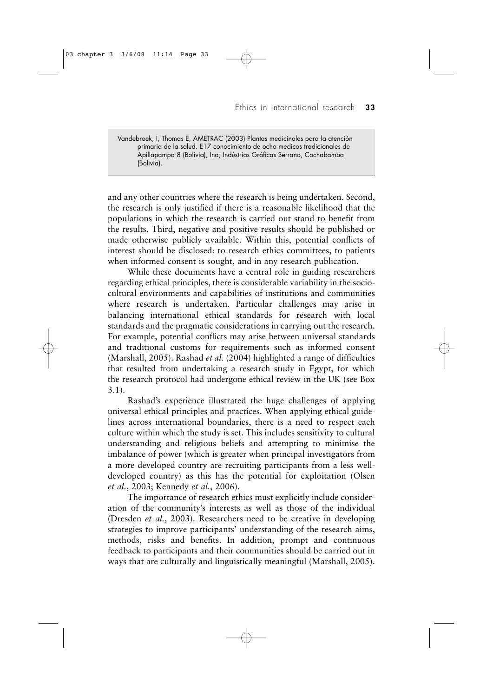Vandebroek, I, Thomas E, AMETRAC (2003) Plantas medicinales para la atención primaria de la salud. E17 conocimiento de ocho medicos tradicionales de Apillapampa 8 (Bolivia), Ina; Indústrias Gráficas Serrano, Cochabamba (Bolivia).

and any other countries where the research is being undertaken. Second, the research is only justified if there is a reasonable likelihood that the populations in which the research is carried out stand to benefit from the results. Third, negative and positive results should be published or made otherwise publicly available. Within this, potential conflicts of interest should be disclosed: to research ethics committees, to patients when informed consent is sought, and in any research publication.

While these documents have a central role in guiding researchers regarding ethical principles, there is considerable variability in the sociocultural environments and capabilities of institutions and communities where research is undertaken. Particular challenges may arise in balancing international ethical standards for research with local standards and the pragmatic considerations in carrying out the research. For example, potential conflicts may arise between universal standards and traditional customs for requirements such as informed consent (Marshall, 2005). Rashad *et al.* (2004) highlighted a range of difficulties that resulted from undertaking a research study in Egypt, for which the research protocol had undergone ethical review in the UK (see Box 3.1).

Rashad's experience illustrated the huge challenges of applying universal ethical principles and practices. When applying ethical guidelines across international boundaries, there is a need to respect each culture within which the study is set. This includes sensitivity to cultural understanding and religious beliefs and attempting to minimise the imbalance of power (which is greater when principal investigators from a more developed country are recruiting participants from a less welldeveloped country) as this has the potential for exploitation (Olsen *et al.*, 2003; Kennedy *et al.*, 2006).

The importance of research ethics must explicitly include consideration of the community's interests as well as those of the individual (Dresden *et al.*, 2003). Researchers need to be creative in developing strategies to improve participants' understanding of the research aims, methods, risks and benefits. In addition, prompt and continuous feedback to participants and their communities should be carried out in ways that are culturally and linguistically meaningful (Marshall, 2005).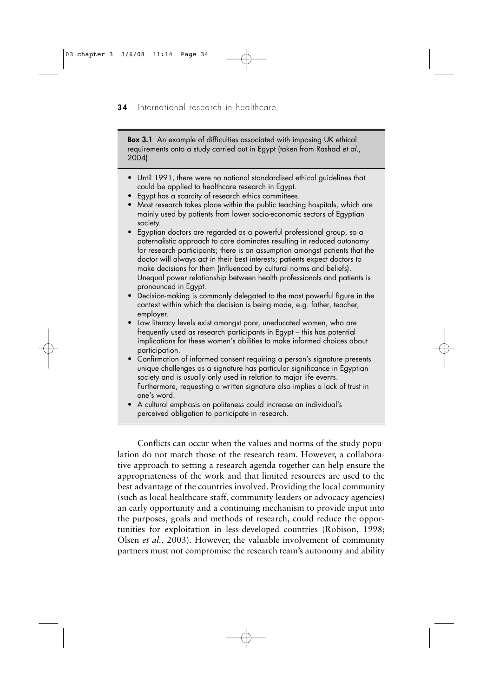**Box 3.1** An example of difficulties associated with imposing UK ethical requirements onto a study carried out in Egypt (taken from Rashad et al., 2004)

- Until 1991, there were no national standardised ethical guidelines that could be applied to healthcare research in Egypt.
- Egypt has a scarcity of research ethics committees.
- Most research takes place within the public teaching hospitals, which are mainly used by patients from lower socio-economic sectors of Egyptian society.
- Egyptian doctors are regarded as a powerful professional group, so a paternalistic approach to care dominates resulting in reduced autonomy for research participants; there is an assumption amongst patients that the doctor will always act in their best interests; patients expect doctors to make decisions for them (influenced by cultural norms and beliefs). Unequal power relationship between health professionals and patients is pronounced in Egypt.
- Decision-making is commonly delegated to the most powerful figure in the context within which the decision is being made, e.g. father, teacher, employer.
- Low literacy levels exist amongst poor, uneducated women, who are frequently used as research participants in Egypt – this has potential implications for these women's abilities to make informed choices about participation.
- Confirmation of informed consent requiring a person's signature presents unique challenges as a signature has particular significance in Egyptian society and is usually only used in relation to major life events. Furthermore, requesting a written signature also implies a lack of trust in one's word.
- A cultural emphasis on politeness could increase an individual's perceived obligation to participate in research.

Conflicts can occur when the values and norms of the study population do not match those of the research team. However, a collaborative approach to setting a research agenda together can help ensure the appropriateness of the work and that limited resources are used to the best advantage of the countries involved. Providing the local community (such as local healthcare staff, community leaders or advocacy agencies) an early opportunity and a continuing mechanism to provide input into the purposes, goals and methods of research, could reduce the opportunities for exploitation in less-developed countries (Robison, 1998; Olsen *et al.*, 2003). However, the valuable involvement of community partners must not compromise the research team's autonomy and ability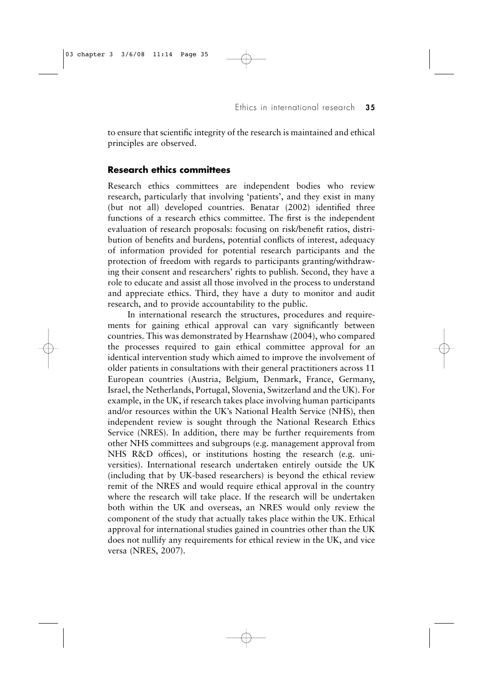to ensure that scientific integrity of the research is maintained and ethical principles are observed.

# **Research ethics committees**

Research ethics committees are independent bodies who review research, particularly that involving 'patients', and they exist in many (but not all) developed countries. Benatar (2002) identified three functions of a research ethics committee. The first is the independent evaluation of research proposals: focusing on risk/benefit ratios, distribution of benefits and burdens, potential conflicts of interest, adequacy of information provided for potential research participants and the protection of freedom with regards to participants granting/withdrawing their consent and researchers' rights to publish. Second, they have a role to educate and assist all those involved in the process to understand and appreciate ethics. Third, they have a duty to monitor and audit research, and to provide accountability to the public.

In international research the structures, procedures and requirements for gaining ethical approval can vary significantly between countries. This was demonstrated by Hearnshaw (2004), who compared the processes required to gain ethical committee approval for an identical intervention study which aimed to improve the involvement of older patients in consultations with their general practitioners across 11 European countries (Austria, Belgium, Denmark, France, Germany, Israel, the Netherlands, Portugal, Slovenia, Switzerland and the UK). For example, in the UK, if research takes place involving human participants and/or resources within the UK's National Health Service (NHS), then independent review is sought through the National Research Ethics Service (NRES). In addition, there may be further requirements from other NHS committees and subgroups (e.g. management approval from NHS R&D offices), or institutions hosting the research (e.g. universities). International research undertaken entirely outside the UK (including that by UK-based researchers) is beyond the ethical review remit of the NRES and would require ethical approval in the country where the research will take place. If the research will be undertaken both within the UK and overseas, an NRES would only review the component of the study that actually takes place within the UK. Ethical approval for international studies gained in countries other than the UK does not nullify any requirements for ethical review in the UK, and vice versa (NRES, 2007).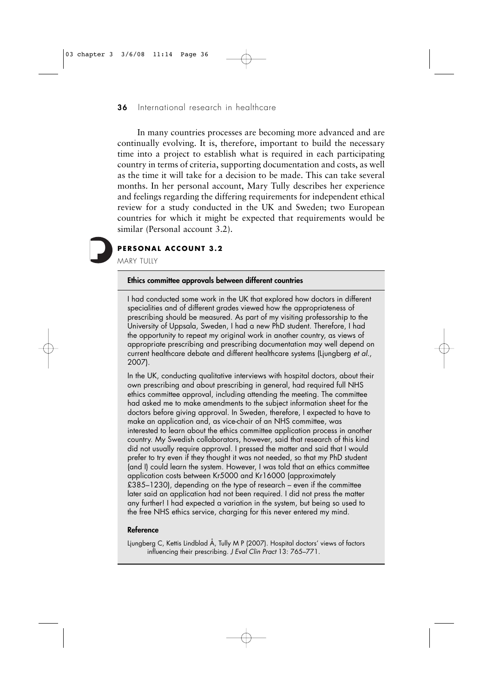In many countries processes are becoming more advanced and are continually evolving. It is, therefore, important to build the necessary time into a project to establish what is required in each participating country in terms of criteria, supporting documentation and costs, as well as the time it will take for a decision to be made. This can take several months. In her personal account, Mary Tully describes her experience and feelings regarding the differing requirements for independent ethical review for a study conducted in the UK and Sweden; two European countries for which it might be expected that requirements would be similar (Personal account 3.2).



# **PERSONAL ACCOUNT 3.2**

MARY TULLY

#### **Ethics committee approvals between different countries**

I had conducted some work in the UK that explored how doctors in different specialities and of different grades viewed how the appropriateness of prescribing should be measured. As part of my visiting professorship to the University of Uppsala, Sweden, I had a new PhD student. Therefore, I had the opportunity to repeat my original work in another country, as views of appropriate prescribing and prescribing documentation may well depend on current healthcare debate and different healthcare systems (Ljungberg et al., 2007).

In the UK, conducting qualitative interviews with hospital doctors, about their own prescribing and about prescribing in general, had required full NHS ethics committee approval, including attending the meeting. The committee had asked me to make amendments to the subject information sheet for the doctors before giving approval. In Sweden, therefore, I expected to have to make an application and, as vice-chair of an NHS committee, was interested to learn about the ethics committee application process in another country. My Swedish collaborators, however, said that research of this kind did not usually require approval. I pressed the matter and said that I would prefer to try even if they thought it was not needed, so that my PhD student (and I) could learn the system. However, I was told that an ethics committee application costs between Kr5000 and Kr16000 (approximately £385–1230), depending on the type of research – even if the committee later said an application had not been required. I did not press the matter any further! I had expected a variation in the system, but being so used to the free NHS ethics service, charging for this never entered my mind.

#### **Reference**

Ljungberg C, Kettis Lindblad Å, Tully M P (2007). Hospital doctors' views of factors influencing their prescribing. J Eval Clin Pract 13: 765–771.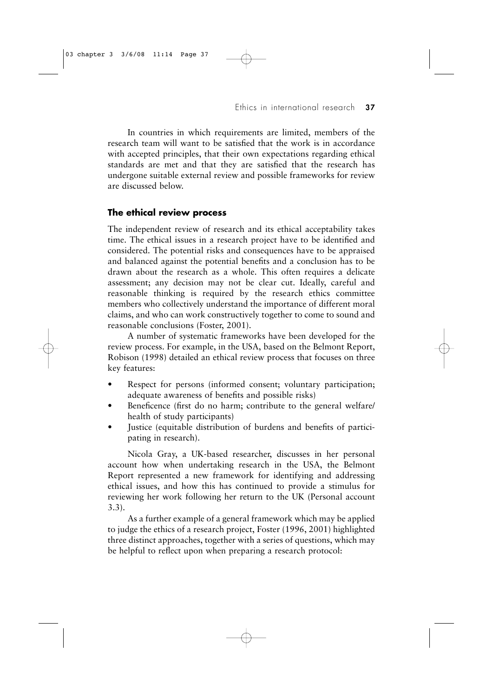In countries in which requirements are limited, members of the research team will want to be satisfied that the work is in accordance with accepted principles, that their own expectations regarding ethical standards are met and that they are satisfied that the research has undergone suitable external review and possible frameworks for review are discussed below.

# **The ethical review process**

The independent review of research and its ethical acceptability takes time. The ethical issues in a research project have to be identified and considered. The potential risks and consequences have to be appraised and balanced against the potential benefits and a conclusion has to be drawn about the research as a whole. This often requires a delicate assessment; any decision may not be clear cut. Ideally, careful and reasonable thinking is required by the research ethics committee members who collectively understand the importance of different moral claims, and who can work constructively together to come to sound and reasonable conclusions (Foster, 2001).

A number of systematic frameworks have been developed for the review process. For example, in the USA, based on the Belmont Report, Robison (1998) detailed an ethical review process that focuses on three key features:

- Respect for persons (informed consent; voluntary participation; adequate awareness of benefits and possible risks)
- Beneficence (first do no harm; contribute to the general welfare/ health of study participants)
- Justice (equitable distribution of burdens and benefits of participating in research).

Nicola Gray, a UK-based researcher, discusses in her personal account how when undertaking research in the USA, the Belmont Report represented a new framework for identifying and addressing ethical issues, and how this has continued to provide a stimulus for reviewing her work following her return to the UK (Personal account 3.3).

As a further example of a general framework which may be applied to judge the ethics of a research project, Foster (1996, 2001) highlighted three distinct approaches, together with a series of questions, which may be helpful to reflect upon when preparing a research protocol: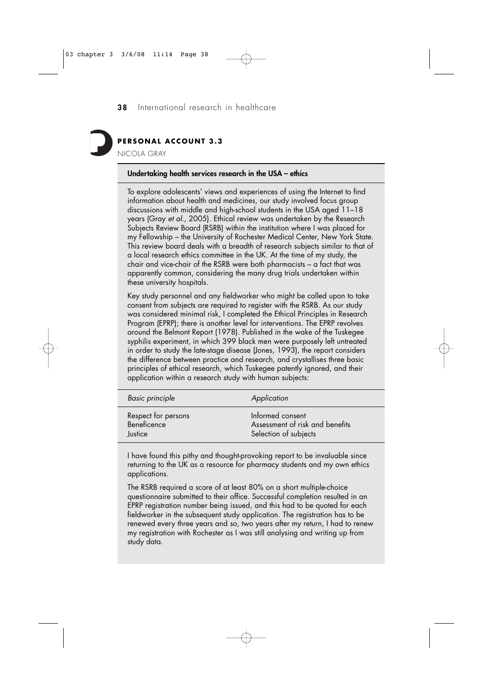# **PERSONAL ACCOUNT 3.3**

NICOLA GRAY

**P**

#### **Undertaking health services research in the USA – ethics**

To explore adolescents' views and experiences of using the Internet to find information about health and medicines, our study involved focus group discussions with middle and high-school students in the USA aged 11–18 years (Gray et al., 2005). Ethical review was undertaken by the Research Subjects Review Board (RSRB) within the institution where I was placed for my Fellowship – the University of Rochester Medical Center, New York State. This review board deals with a breadth of research subjects similar to that of a local research ethics committee in the UK. At the time of my study, the chair and vice-chair of the RSRB were both pharmacists – a fact that was apparently common, considering the many drug trials undertaken within these university hospitals.

Key study personnel and any fieldworker who might be called upon to take consent from subjects are required to register with the RSRB. As our study was considered minimal risk, I completed the Ethical Principles in Research Program (EPRP); there is another level for interventions. The EPRP revolves around the Belmont Report (1978). Published in the wake of the Tuskegee syphilis experiment, in which 399 black men were purposely left untreated in order to study the late-stage disease (Jones, 1993), the report considers the difference between practice and research, and crystallises three basic principles of ethical research, which Tuskegee patently ignored, and their application within a research study with human subjects:

| <b>Basic principle</b> | Application                     |
|------------------------|---------------------------------|
| Respect for persons    | Informed consent                |
| Beneficence            | Assessment of risk and benefits |
| Justice                | Selection of subjects           |

I have found this pithy and thought-provoking report to be invaluable since returning to the UK as a resource for pharmacy students and my own ethics applications.

The RSRB required a score of at least 80% on a short multiple-choice questionnaire submitted to their office. Successful completion resulted in an EPRP registration number being issued, and this had to be quoted for each fieldworker in the subsequent study application. The registration has to be renewed every three years and so, two years after my return, I had to renew my registration with Rochester as I was still analysing and writing up from study data.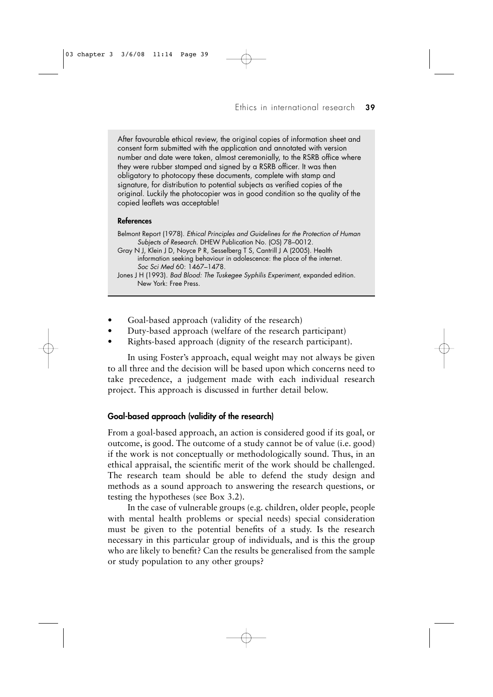

After favourable ethical review, the original copies of information sheet and consent form submitted with the application and annotated with version number and date were taken, almost ceremonially, to the RSRB office where they were rubber stamped and signed by a RSRB officer. It was then obligatory to photocopy these documents, complete with stamp and signature, for distribution to potential subjects as verified copies of the original. Luckily the photocopier was in good condition so the quality of the copied leaflets was acceptable!

#### **References**

| Belmont Report (1978). Ethical Principles and Guidelines for the Protection of Human |
|--------------------------------------------------------------------------------------|
| Subjects of Research. DHEW Publication No. (OS) 78-0012.                             |
| Gray N J, Klein J D, Noyce P R, Sesselberg T S, Cantrill J A (2005). Health          |
| information seeking behaviour in adolescence: the place of the internet.             |
| Soc Sci Med 60: 1467-1478.                                                           |
| Jones J H (1993). Bad Blood: The Tuskegee Syphilis Experiment, expanded edition.     |
| New York: Free Press.                                                                |
|                                                                                      |

- Goal-based approach (validity of the research)
- Duty-based approach (welfare of the research participant)
- Rights-based approach (dignity of the research participant).

In using Foster's approach, equal weight may not always be given to all three and the decision will be based upon which concerns need to take precedence, a judgement made with each individual research project. This approach is discussed in further detail below.

# **Goal-based approach (validity of the research)**

From a goal-based approach, an action is considered good if its goal, or outcome, is good. The outcome of a study cannot be of value (i.e. good) if the work is not conceptually or methodologically sound. Thus, in an ethical appraisal, the scientific merit of the work should be challenged. The research team should be able to defend the study design and methods as a sound approach to answering the research questions, or testing the hypotheses (see Box 3.2).

In the case of vulnerable groups (e.g. children, older people, people with mental health problems or special needs) special consideration must be given to the potential benefits of a study. Is the research necessary in this particular group of individuals, and is this the group who are likely to benefit? Can the results be generalised from the sample or study population to any other groups?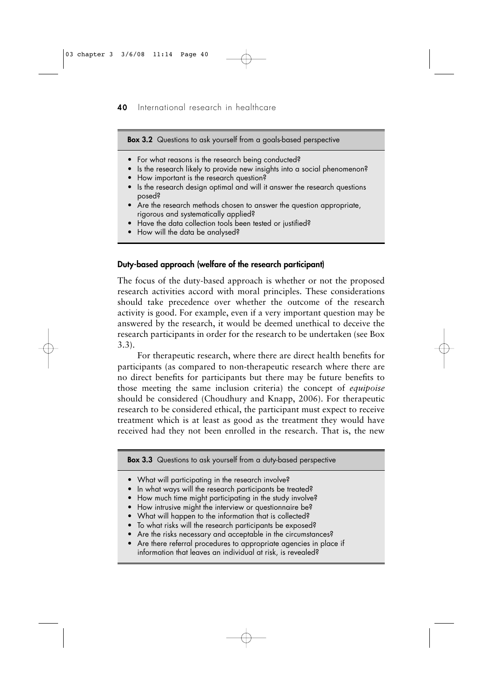**Box 3.2** Questions to ask yourself from a goals-based perspective

- For what reasons is the research being conducted?
- Is the research likely to provide new insights into a social phenomenon?
- How important is the research question?
- Is the research design optimal and will it answer the research questions posed?
- Are the research methods chosen to answer the question appropriate, rigorous and systematically applied?
- Have the data collection tools been tested or justified?
- How will the data be analysed?

#### **Duty-based approach (welfare of the research participant)**

The focus of the duty-based approach is whether or not the proposed research activities accord with moral principles. These considerations should take precedence over whether the outcome of the research activity is good. For example, even if a very important question may be answered by the research, it would be deemed unethical to deceive the research participants in order for the research to be undertaken (see Box 3.3).

For therapeutic research, where there are direct health benefits for participants (as compared to non-therapeutic research where there are no direct benefits for participants but there may be future benefits to those meeting the same inclusion criteria) the concept of *equipoise* should be considered (Choudhury and Knapp, 2006). For therapeutic research to be considered ethical, the participant must expect to receive treatment which is at least as good as the treatment they would have received had they not been enrolled in the research. That is, the new

**Box 3.3** Questions to ask yourself from a duty-based perspective

- What will participating in the research involve?
- In what ways will the research participants be treated?
- How much time might participating in the study involve?
- How intrusive might the interview or questionnaire be?
- What will happen to the information that is collected?
- To what risks will the research participants be exposed?
- Are the risks necessary and acceptable in the circumstances?
- Are there referral procedures to appropriate agencies in place if information that leaves an individual at risk, is revealed?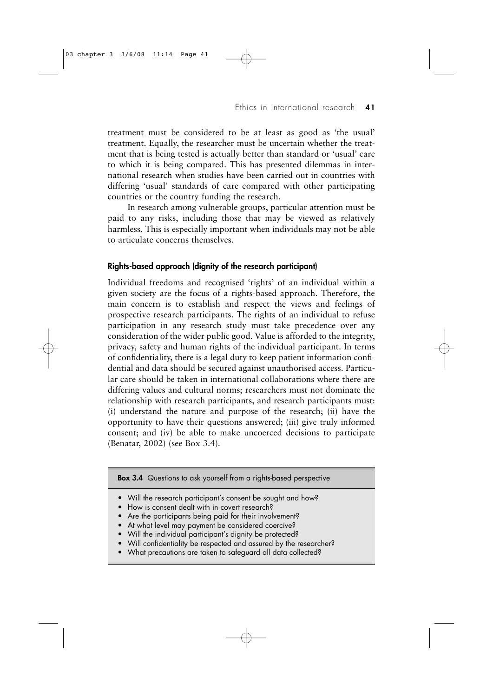treatment must be considered to be at least as good as 'the usual' treatment. Equally, the researcher must be uncertain whether the treatment that is being tested is actually better than standard or 'usual' care to which it is being compared. This has presented dilemmas in international research when studies have been carried out in countries with differing 'usual' standards of care compared with other participating countries or the country funding the research.

In research among vulnerable groups, particular attention must be paid to any risks, including those that may be viewed as relatively harmless. This is especially important when individuals may not be able to articulate concerns themselves.

# **Rights-based approach (dignity of the research participant)**

Individual freedoms and recognised 'rights' of an individual within a given society are the focus of a rights-based approach. Therefore, the main concern is to establish and respect the views and feelings of prospective research participants. The rights of an individual to refuse participation in any research study must take precedence over any consideration of the wider public good. Value is afforded to the integrity, privacy, safety and human rights of the individual participant. In terms of confidentiality, there is a legal duty to keep patient information confidential and data should be secured against unauthorised access. Particular care should be taken in international collaborations where there are differing values and cultural norms; researchers must not dominate the relationship with research participants, and research participants must: (i) understand the nature and purpose of the research; (ii) have the opportunity to have their questions answered; (iii) give truly informed consent; and (iv) be able to make uncoerced decisions to participate (Benatar, 2002) (see Box 3.4).

**Box 3.4** Questions to ask yourself from a rights-based perspective

- Will the research participant's consent be sought and how?
- How is consent dealt with in covert research?
- Are the participants being paid for their involvement?
- At what level may payment be considered coercive?
- Will the individual participant's dignity be protected?
- Will confidentiality be respected and assured by the researcher?
- What precautions are taken to safeguard all data collected?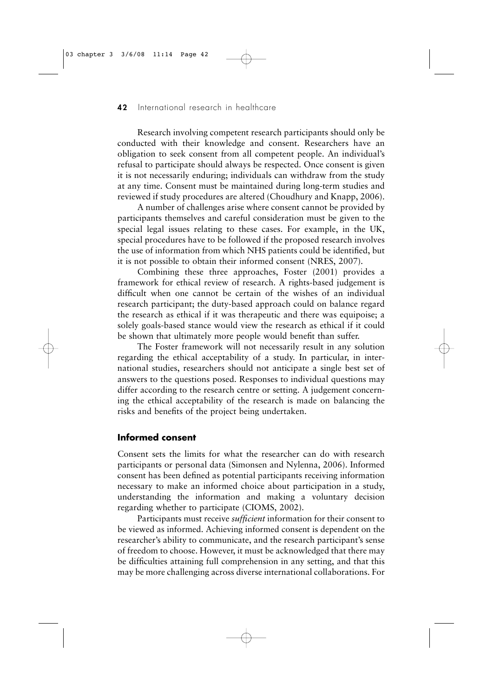Research involving competent research participants should only be conducted with their knowledge and consent. Researchers have an obligation to seek consent from all competent people. An individual's refusal to participate should always be respected. Once consent is given it is not necessarily enduring; individuals can withdraw from the study at any time. Consent must be maintained during long-term studies and reviewed if study procedures are altered (Choudhury and Knapp, 2006).

A number of challenges arise where consent cannot be provided by participants themselves and careful consideration must be given to the special legal issues relating to these cases. For example, in the UK, special procedures have to be followed if the proposed research involves the use of information from which NHS patients could be identified, but it is not possible to obtain their informed consent (NRES, 2007).

Combining these three approaches, Foster (2001) provides a framework for ethical review of research. A rights-based judgement is difficult when one cannot be certain of the wishes of an individual research participant; the duty-based approach could on balance regard the research as ethical if it was therapeutic and there was equipoise; a solely goals-based stance would view the research as ethical if it could be shown that ultimately more people would benefit than suffer.

The Foster framework will not necessarily result in any solution regarding the ethical acceptability of a study. In particular, in international studies, researchers should not anticipate a single best set of answers to the questions posed. Responses to individual questions may differ according to the research centre or setting. A judgement concerning the ethical acceptability of the research is made on balancing the risks and benefits of the project being undertaken.

# **Informed consent**

Consent sets the limits for what the researcher can do with research participants or personal data (Simonsen and Nylenna, 2006). Informed consent has been defined as potential participants receiving information necessary to make an informed choice about participation in a study, understanding the information and making a voluntary decision regarding whether to participate (CIOMS, 2002).

Participants must receive *sufficient* information for their consent to be viewed as informed. Achieving informed consent is dependent on the researcher's ability to communicate, and the research participant's sense of freedom to choose. However, it must be acknowledged that there may be difficulties attaining full comprehension in any setting, and that this may be more challenging across diverse international collaborations. For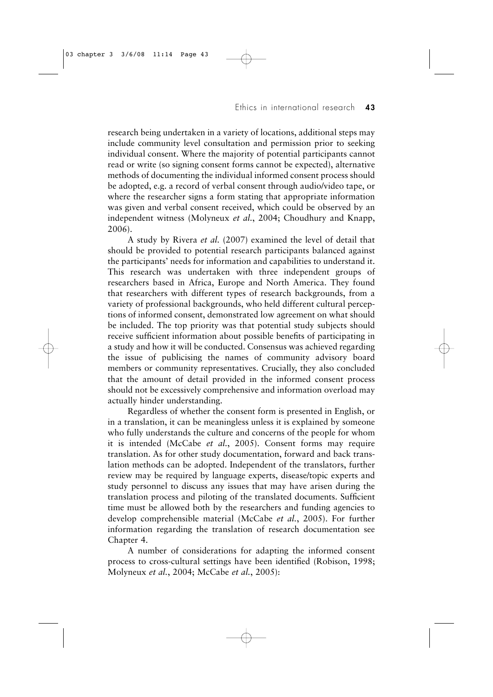research being undertaken in a variety of locations, additional steps may include community level consultation and permission prior to seeking individual consent. Where the majority of potential participants cannot read or write (so signing consent forms cannot be expected), alternative methods of documenting the individual informed consent process should be adopted, e.g. a record of verbal consent through audio/video tape, or where the researcher signs a form stating that appropriate information was given and verbal consent received, which could be observed by an independent witness (Molyneux *et al.*, 2004; Choudhury and Knapp, 2006).

A study by Rivera *et al.* (2007) examined the level of detail that should be provided to potential research participants balanced against the participants' needs for information and capabilities to understand it. This research was undertaken with three independent groups of researchers based in Africa, Europe and North America. They found that researchers with different types of research backgrounds, from a variety of professional backgrounds, who held different cultural perceptions of informed consent, demonstrated low agreement on what should be included. The top priority was that potential study subjects should receive sufficient information about possible benefits of participating in a study and how it will be conducted. Consensus was achieved regarding the issue of publicising the names of community advisory board members or community representatives. Crucially, they also concluded that the amount of detail provided in the informed consent process should not be excessively comprehensive and information overload may actually hinder understanding.

Regardless of whether the consent form is presented in English, or in a translation, it can be meaningless unless it is explained by someone who fully understands the culture and concerns of the people for whom it is intended (McCabe *et al.*, 2005). Consent forms may require translation. As for other study documentation, forward and back translation methods can be adopted. Independent of the translators, further review may be required by language experts, disease/topic experts and study personnel to discuss any issues that may have arisen during the translation process and piloting of the translated documents. Sufficient time must be allowed both by the researchers and funding agencies to develop comprehensible material (McCabe *et al.*, 2005). For further information regarding the translation of research documentation see Chapter 4.

A number of considerations for adapting the informed consent process to cross-cultural settings have been identified (Robison, 1998; Molyneux *et al.*, 2004; McCabe *et al.*, 2005):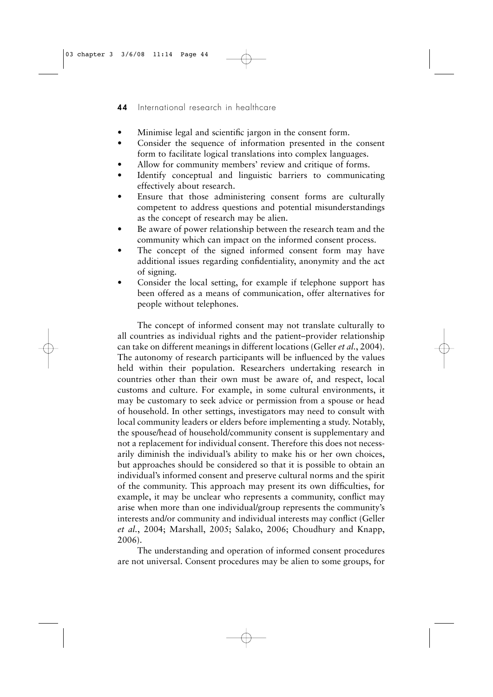- Minimise legal and scientific jargon in the consent form.
- Consider the sequence of information presented in the consent form to facilitate logical translations into complex languages.
- Allow for community members' review and critique of forms.
- Identify conceptual and linguistic barriers to communicating effectively about research.
- Ensure that those administering consent forms are culturally competent to address questions and potential misunderstandings as the concept of research may be alien.
- Be aware of power relationship between the research team and the community which can impact on the informed consent process.
- The concept of the signed informed consent form may have additional issues regarding confidentiality, anonymity and the act of signing.
- Consider the local setting, for example if telephone support has been offered as a means of communication, offer alternatives for people without telephones.

The concept of informed consent may not translate culturally to all countries as individual rights and the patient–provider relationship can take on different meanings in different locations (Geller *et al.*, 2004). The autonomy of research participants will be influenced by the values held within their population. Researchers undertaking research in countries other than their own must be aware of, and respect, local customs and culture. For example, in some cultural environments, it may be customary to seek advice or permission from a spouse or head of household. In other settings, investigators may need to consult with local community leaders or elders before implementing a study. Notably, the spouse/head of household/community consent is supplementary and not a replacement for individual consent. Therefore this does not necessarily diminish the individual's ability to make his or her own choices, but approaches should be considered so that it is possible to obtain an individual's informed consent and preserve cultural norms and the spirit of the community. This approach may present its own difficulties, for example, it may be unclear who represents a community, conflict may arise when more than one individual/group represents the community's interests and/or community and individual interests may conflict (Geller *et al.*, 2004; Marshall, 2005; Salako, 2006; Choudhury and Knapp, 2006).

The understanding and operation of informed consent procedures are not universal. Consent procedures may be alien to some groups, for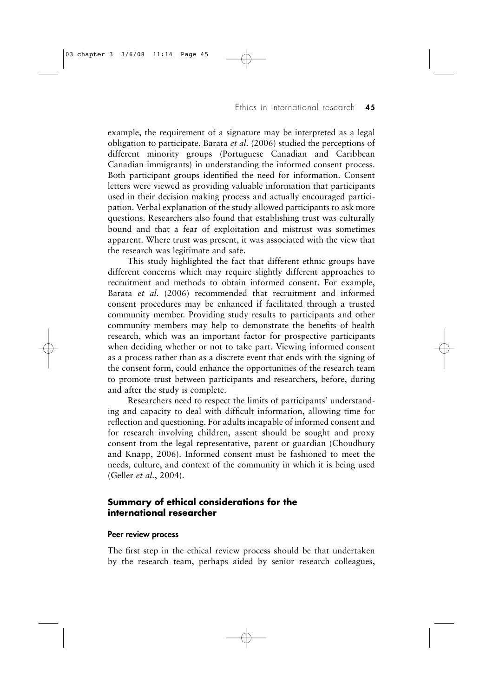# Ethics in international research **45**

example, the requirement of a signature may be interpreted as a legal obligation to participate. Barata *et al.* (2006) studied the perceptions of different minority groups (Portuguese Canadian and Caribbean Canadian immigrants) in understanding the informed consent process. Both participant groups identified the need for information. Consent letters were viewed as providing valuable information that participants used in their decision making process and actually encouraged participation. Verbal explanation of the study allowed participants to ask more questions. Researchers also found that establishing trust was culturally bound and that a fear of exploitation and mistrust was sometimes apparent. Where trust was present, it was associated with the view that the research was legitimate and safe.

This study highlighted the fact that different ethnic groups have different concerns which may require slightly different approaches to recruitment and methods to obtain informed consent. For example, Barata *et al.* (2006) recommended that recruitment and informed consent procedures may be enhanced if facilitated through a trusted community member. Providing study results to participants and other community members may help to demonstrate the benefits of health research, which was an important factor for prospective participants when deciding whether or not to take part. Viewing informed consent as a process rather than as a discrete event that ends with the signing of the consent form, could enhance the opportunities of the research team to promote trust between participants and researchers, before, during and after the study is complete.

Researchers need to respect the limits of participants' understanding and capacity to deal with difficult information, allowing time for reflection and questioning. For adults incapable of informed consent and for research involving children, assent should be sought and proxy consent from the legal representative, parent or guardian (Choudhury and Knapp, 2006). Informed consent must be fashioned to meet the needs, culture, and context of the community in which it is being used (Geller *et al.*, 2004).

# **Summary of ethical considerations for the international researcher**

#### **Peer review process**

The first step in the ethical review process should be that undertaken by the research team, perhaps aided by senior research colleagues,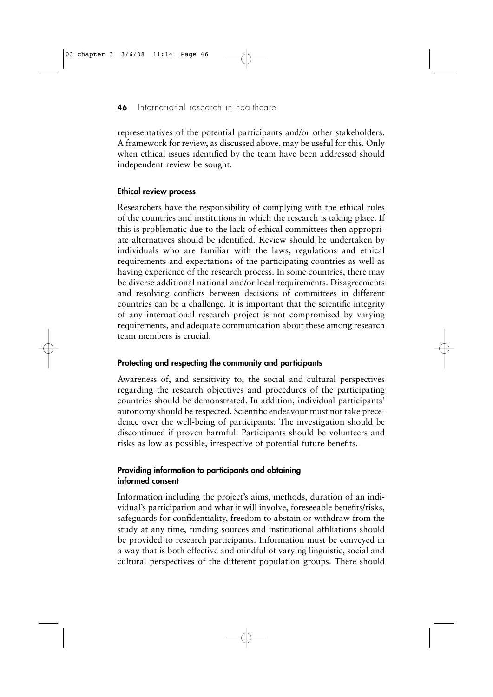representatives of the potential participants and/or other stakeholders. A framework for review, as discussed above, may be useful for this. Only when ethical issues identified by the team have been addressed should independent review be sought.

#### **Ethical review process**

Researchers have the responsibility of complying with the ethical rules of the countries and institutions in which the research is taking place. If this is problematic due to the lack of ethical committees then appropriate alternatives should be identified. Review should be undertaken by individuals who are familiar with the laws, regulations and ethical requirements and expectations of the participating countries as well as having experience of the research process. In some countries, there may be diverse additional national and/or local requirements. Disagreements and resolving conflicts between decisions of committees in different countries can be a challenge. It is important that the scientific integrity of any international research project is not compromised by varying requirements, and adequate communication about these among research team members is crucial.

# **Protecting and respecting the community and participants**

Awareness of, and sensitivity to, the social and cultural perspectives regarding the research objectives and procedures of the participating countries should be demonstrated. In addition, individual participants' autonomy should be respected. Scientific endeavour must not take precedence over the well-being of participants. The investigation should be discontinued if proven harmful. Participants should be volunteers and risks as low as possible, irrespective of potential future benefits.

# **Providing information to participants and obtaining informed consent**

Information including the project's aims, methods, duration of an individual's participation and what it will involve, foreseeable benefits/risks, safeguards for confidentiality, freedom to abstain or withdraw from the study at any time, funding sources and institutional affiliations should be provided to research participants. Information must be conveyed in a way that is both effective and mindful of varying linguistic, social and cultural perspectives of the different population groups. There should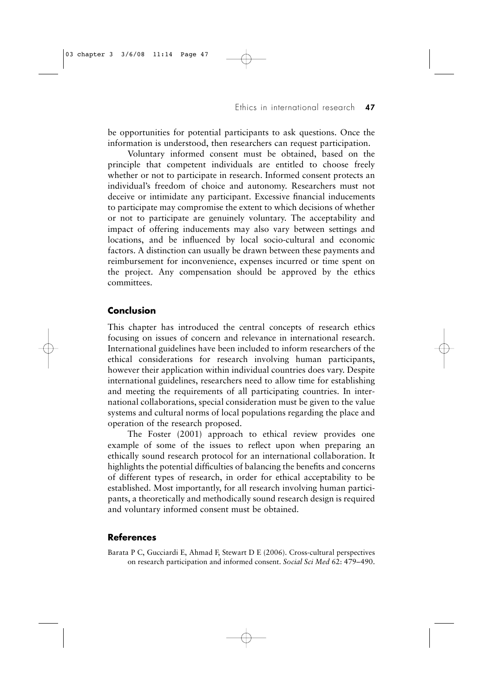be opportunities for potential participants to ask questions. Once the information is understood, then researchers can request participation.

Voluntary informed consent must be obtained, based on the principle that competent individuals are entitled to choose freely whether or not to participate in research. Informed consent protects an individual's freedom of choice and autonomy. Researchers must not deceive or intimidate any participant. Excessive financial inducements to participate may compromise the extent to which decisions of whether or not to participate are genuinely voluntary. The acceptability and impact of offering inducements may also vary between settings and locations, and be influenced by local socio-cultural and economic factors. A distinction can usually be drawn between these payments and reimbursement for inconvenience, expenses incurred or time spent on the project. Any compensation should be approved by the ethics committees.

# **Conclusion**

This chapter has introduced the central concepts of research ethics focusing on issues of concern and relevance in international research. International guidelines have been included to inform researchers of the ethical considerations for research involving human participants, however their application within individual countries does vary. Despite international guidelines, researchers need to allow time for establishing and meeting the requirements of all participating countries. In international collaborations, special consideration must be given to the value systems and cultural norms of local populations regarding the place and operation of the research proposed.

The Foster (2001) approach to ethical review provides one example of some of the issues to reflect upon when preparing an ethically sound research protocol for an international collaboration. It highlights the potential difficulties of balancing the benefits and concerns of different types of research, in order for ethical acceptability to be established. Most importantly, for all research involving human participants, a theoretically and methodically sound research design is required and voluntary informed consent must be obtained.

# **References**

Barata P C, Gucciardi E, Ahmad F, Stewart D E (2006). Cross-cultural perspectives on research participation and informed consent. *Social Sci Med* 62: 479–490.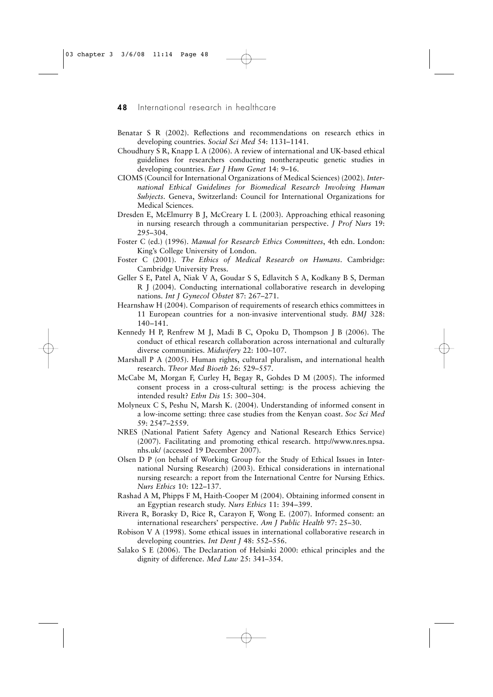- Benatar S R (2002). Reflections and recommendations on research ethics in developing countries. *Social Sci Med* 54: 1131–1141.
- Choudhury S R, Knapp L A (2006). A review of international and UK-based ethical guidelines for researchers conducting nontherapeutic genetic studies in developing countries. *Eur J Hum Genet* 14: 9–16.
- CIOMS (Council for International Organizations of Medical Sciences) (2002). *International Ethical Guidelines for Biomedical Research Involving Human Subjects*. Geneva, Switzerland: Council for International Organizations for Medical Sciences.
- Dresden E, McElmurry B J, McCreary L L (2003). Approaching ethical reasoning in nursing research through a communitarian perspective. *J Prof Nurs* 19: 295–304.
- Foster C (ed.) (1996). *Manual for Research Ethics Committees*, 4th edn. London: King's College University of London.
- Foster C (2001). *The Ethics of Medical Research on Humans*. Cambridge: Cambridge University Press.
- Geller S E, Patel A, Niak V A, Goudar S S, Edlavitch S A, Kodkany B S, Derman R J (2004). Conducting international collaborative research in developing nations. *Int J Gynecol Obstet* 87: 267–271.
- Hearnshaw H (2004). Comparison of requirements of research ethics committees in 11 European countries for a non-invasive interventional study. *BMJ* 328: 140–141.
- Kennedy H P, Renfrew M J, Madi B C, Opoku D, Thompson J B (2006). The conduct of ethical research collaboration across international and culturally diverse communities. *Midwifery* 22: 100–107.
- Marshall P A (2005). Human rights, cultural pluralism, and international health research. *Theor Med Bioeth* 26: 529–557.
- McCabe M, Morgan F, Curley H, Begay R, Gohdes D M (2005). The informed consent process in a cross-cultural setting: is the process achieving the intended result? *Ethn Dis* 15: 300–304.
- Molyneux C S, Peshu N, Marsh K. (2004). Understanding of informed consent in a low-income setting: three case studies from the Kenyan coast. *Soc Sci Med* 59: 2547–2559.
- NRES (National Patient Safety Agency and National Research Ethics Service) (2007). Facilitating and promoting ethical research. http://www.nres.npsa. nhs.uk/ (accessed 19 December 2007).
- Olsen D P (on behalf of Working Group for the Study of Ethical Issues in International Nursing Research) (2003). Ethical considerations in international nursing research: a report from the International Centre for Nursing Ethics. *Nurs Ethics* 10: 122–137.
- Rashad A M, Phipps F M, Haith-Cooper M (2004). Obtaining informed consent in an Egyptian research study. *Nurs Ethics* 11: 394–399.
- Rivera R, Borasky D, Rice R, Carayon F, Wong E. (2007). Informed consent: an international researchers' perspective. *Am J Public Health* 97: 25–30.
- Robison V A (1998). Some ethical issues in international collaborative research in developing countries. *Int Dent J* 48: 552–556.
- Salako S E (2006). The Declaration of Helsinki 2000: ethical principles and the dignity of difference. *Med Law* 25: 341–354.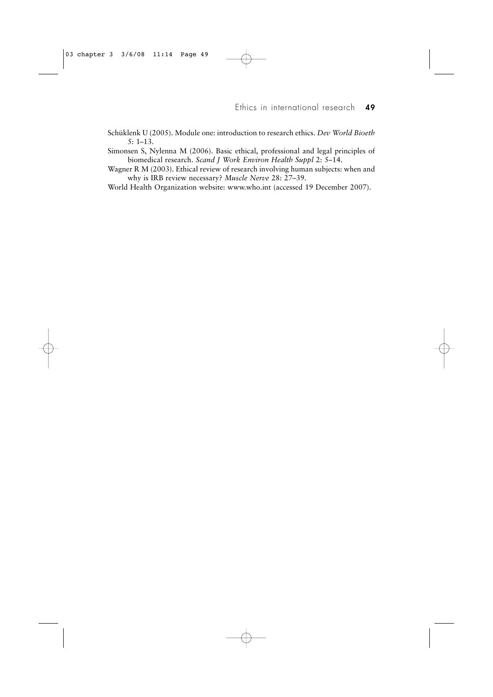# Ethics in international research **49**

Schüklenk U (2005). Module one: introduction to research ethics. *Dev World Bioeth* 5: 1–13.

Simonsen S, Nylenna M (2006). Basic ethical, professional and legal principles of biomedical research. *Scand J Work Environ Health Suppl* 2: 5–14.

Wagner R M (2003). Ethical review of research involving human subjects: when and why is IRB review necessary? *Muscle Nerve* 28: 27–39.

World Health Organization website: www.who.int (accessed 19 December 2007).